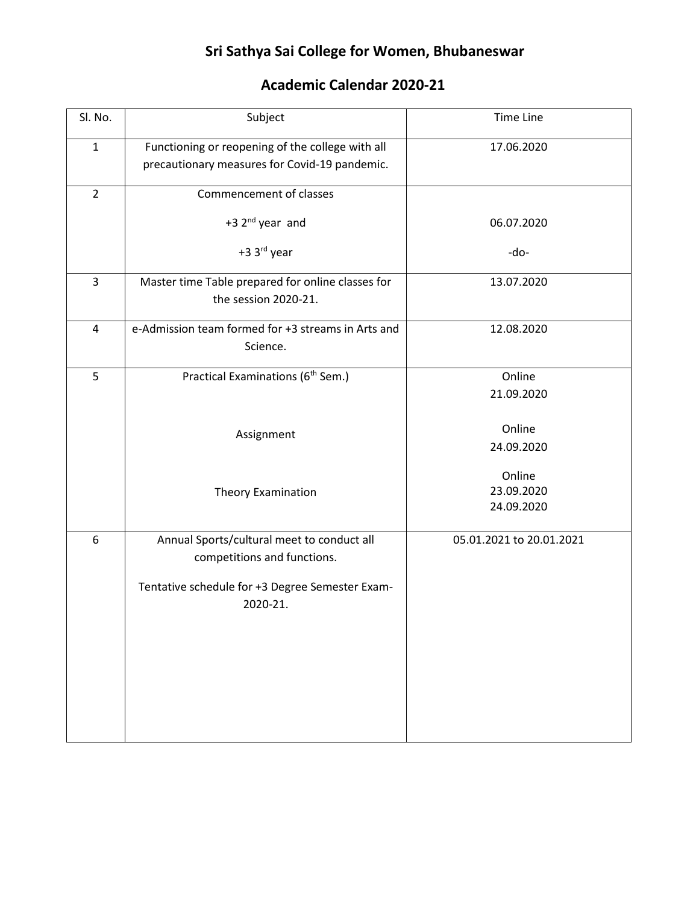## **Sri Sathya Sai College for Women, Bhubaneswar**

## **Academic Calendar 2020-21**

| Sl. No.        | Subject                                                                                           | <b>Time Line</b>                   |
|----------------|---------------------------------------------------------------------------------------------------|------------------------------------|
| $\mathbf{1}$   | Functioning or reopening of the college with all<br>precautionary measures for Covid-19 pandemic. | 17.06.2020                         |
| $\overline{2}$ | Commencement of classes                                                                           |                                    |
|                | +3 2 <sup>nd</sup> year and                                                                       | 06.07.2020                         |
|                | +3 3rd year                                                                                       | -do-                               |
| 3              | Master time Table prepared for online classes for<br>the session 2020-21.                         | 13.07.2020                         |
| 4              | e-Admission team formed for +3 streams in Arts and<br>Science.                                    | 12.08.2020                         |
| 5              | Practical Examinations (6 <sup>th</sup> Sem.)                                                     | Online<br>21.09.2020               |
|                | Assignment                                                                                        | Online<br>24.09.2020               |
|                | Theory Examination                                                                                | Online<br>23.09.2020<br>24.09.2020 |
| 6              | Annual Sports/cultural meet to conduct all<br>competitions and functions.                         | 05.01.2021 to 20.01.2021           |
|                | Tentative schedule for +3 Degree Semester Exam-<br>2020-21.                                       |                                    |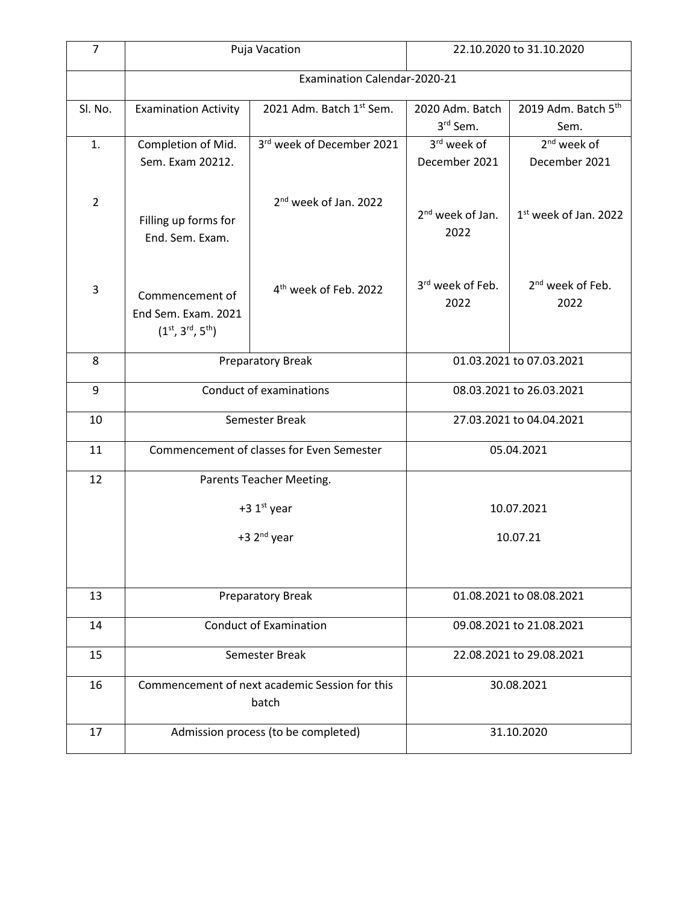| $\overline{7}$ | Puja Vacation                                                        |                                   | 22.10.2020 to 31.10.2020             |                                      |  |
|----------------|----------------------------------------------------------------------|-----------------------------------|--------------------------------------|--------------------------------------|--|
|                | Examination Calendar-2020-21                                         |                                   |                                      |                                      |  |
| Sl. No.        | <b>Examination Activity</b>                                          | 2021 Adm. Batch 1st Sem.          | 2020 Adm. Batch<br>3rd Sem.          | 2019 Adm. Batch 5th<br>Sem.          |  |
| 1.             | Completion of Mid.                                                   | 3rd week of December 2021         | 3rd week of                          | 2 <sup>nd</sup> week of              |  |
|                | Sem. Exam 20212.                                                     |                                   | December 2021                        | December 2021                        |  |
| $\overline{2}$ | Filling up forms for<br>End. Sem. Exam.                              | 2 <sup>nd</sup> week of Jan. 2022 | 2 <sup>nd</sup> week of Jan.<br>2022 | 1 <sup>st</sup> week of Jan. 2022    |  |
| 3              | Commencement of<br>End Sem. Exam. 2021<br>$(1^{st}, 3^{rd}, 5^{th})$ | 4 <sup>th</sup> week of Feb. 2022 | 3rd week of Feb.<br>2022             | 2 <sup>nd</sup> week of Feb.<br>2022 |  |
| 8              | Preparatory Break                                                    |                                   | 01.03.2021 to 07.03.2021             |                                      |  |
| 9              | Conduct of examinations                                              |                                   | 08.03.2021 to 26.03.2021             |                                      |  |
| 10             | Semester Break                                                       |                                   | 27.03.2021 to 04.04.2021             |                                      |  |
| 11             | Commencement of classes for Even Semester                            |                                   | 05.04.2021                           |                                      |  |
| 12             | Parents Teacher Meeting.                                             |                                   |                                      |                                      |  |
|                | +3 $1st$ year                                                        |                                   | 10.07.2021                           |                                      |  |
|                | +3 2 <sup>nd</sup> year                                              |                                   | 10.07.21                             |                                      |  |
|                |                                                                      |                                   |                                      |                                      |  |
| 13             | Preparatory Break                                                    |                                   |                                      | 01.08.2021 to 08.08.2021             |  |
| 14             | <b>Conduct of Examination</b>                                        |                                   | 09.08.2021 to 21.08.2021             |                                      |  |
| 15             | Semester Break                                                       |                                   | 22.08.2021 to 29.08.2021             |                                      |  |
| 16             | Commencement of next academic Session for this                       |                                   | 30.08.2021                           |                                      |  |
|                |                                                                      | batch                             |                                      |                                      |  |
| 17             | Admission process (to be completed)                                  |                                   | 31.10.2020                           |                                      |  |